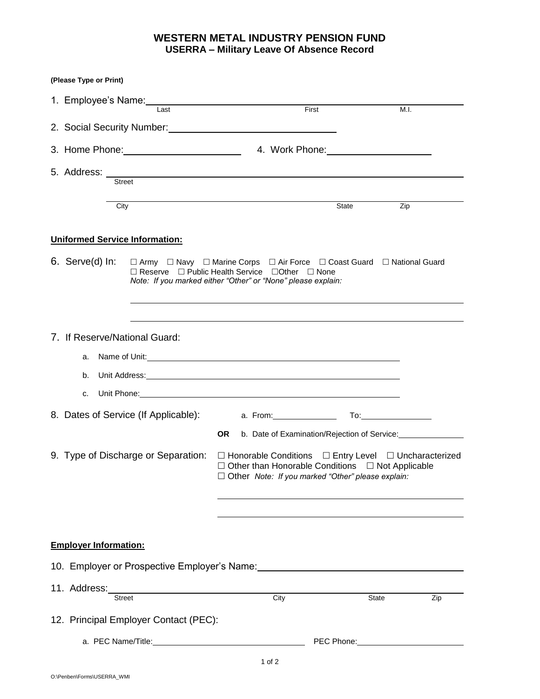## **WESTERN METAL INDUSTRY PENSION FUND USERRA – Military Leave Of Absence Record**

| (Please Type or Print)                                                                                                                                                                                                         |                                                                                                                                                                                                                                      |                 |
|--------------------------------------------------------------------------------------------------------------------------------------------------------------------------------------------------------------------------------|--------------------------------------------------------------------------------------------------------------------------------------------------------------------------------------------------------------------------------------|-----------------|
| 1. Employee's Name: 1. 2008 10:00:00 1. Employee's Name:<br>Last                                                                                                                                                               | First                                                                                                                                                                                                                                | M.I.            |
| 2. Social Security Number: 2. Social Security Number:                                                                                                                                                                          |                                                                                                                                                                                                                                      |                 |
|                                                                                                                                                                                                                                |                                                                                                                                                                                                                                      |                 |
|                                                                                                                                                                                                                                |                                                                                                                                                                                                                                      |                 |
| Street                                                                                                                                                                                                                         |                                                                                                                                                                                                                                      |                 |
| City                                                                                                                                                                                                                           |                                                                                                                                                                                                                                      | State<br>Zip    |
| <b>Uniformed Service Information:</b>                                                                                                                                                                                          |                                                                                                                                                                                                                                      |                 |
| 6. Serve(d) In: $\Box$ Army $\Box$ Navy $\Box$ Marine Corps $\Box$ Air Force $\Box$ Coast Guard $\Box$ National Guard                                                                                                          | □ Reserve □ Public Health Service □ Other □ None<br>Note: If you marked either "Other" or "None" please explain:                                                                                                                     |                 |
| 7. If Reserve/National Guard:<br>a.<br>b.                                                                                                                                                                                      |                                                                                                                                                                                                                                      |                 |
| c.                                                                                                                                                                                                                             | Unit Phone: <u>Andrea Community of the Community of the Community of the Community of the Community of the Community of the Community of the Community of the Community of the Community of the Community of the Community of th</u> |                 |
| 8. Dates of Service (If Applicable): a. From: 1990 a. From:                                                                                                                                                                    |                                                                                                                                                                                                                                      |                 |
|                                                                                                                                                                                                                                | OR.<br>b. Date of Examination/Rejection of Service:                                                                                                                                                                                  |                 |
| 9. Type of Discharge or Separation:                                                                                                                                                                                            | $\Box$ Honorable Conditions $\Box$ Entry Level $\Box$ Uncharacterized<br>$\Box$ Other than Honorable Conditions $\Box$ Not Applicable<br>$\Box$ Other Note: If you marked "Other" please explain:                                    |                 |
|                                                                                                                                                                                                                                |                                                                                                                                                                                                                                      |                 |
|                                                                                                                                                                                                                                |                                                                                                                                                                                                                                      |                 |
| <b>Employer Information:</b>                                                                                                                                                                                                   |                                                                                                                                                                                                                                      |                 |
| 10. Employer or Prospective Employer's Name: 10. Employer 10. Employer 10. The Second Library 10. The Second Library 10. The Second Library 10. The Second Library 10. The Second Library 10. The Second Library 10. The Secon |                                                                                                                                                                                                                                      |                 |
| 11. Address:<br>Street                                                                                                                                                                                                         | City                                                                                                                                                                                                                                 | State<br>Zip    |
| 12. Principal Employer Contact (PEC):                                                                                                                                                                                          |                                                                                                                                                                                                                                      |                 |
|                                                                                                                                                                                                                                |                                                                                                                                                                                                                                      | PEC Phone: 2008 |
|                                                                                                                                                                                                                                | 1 of $2$                                                                                                                                                                                                                             |                 |